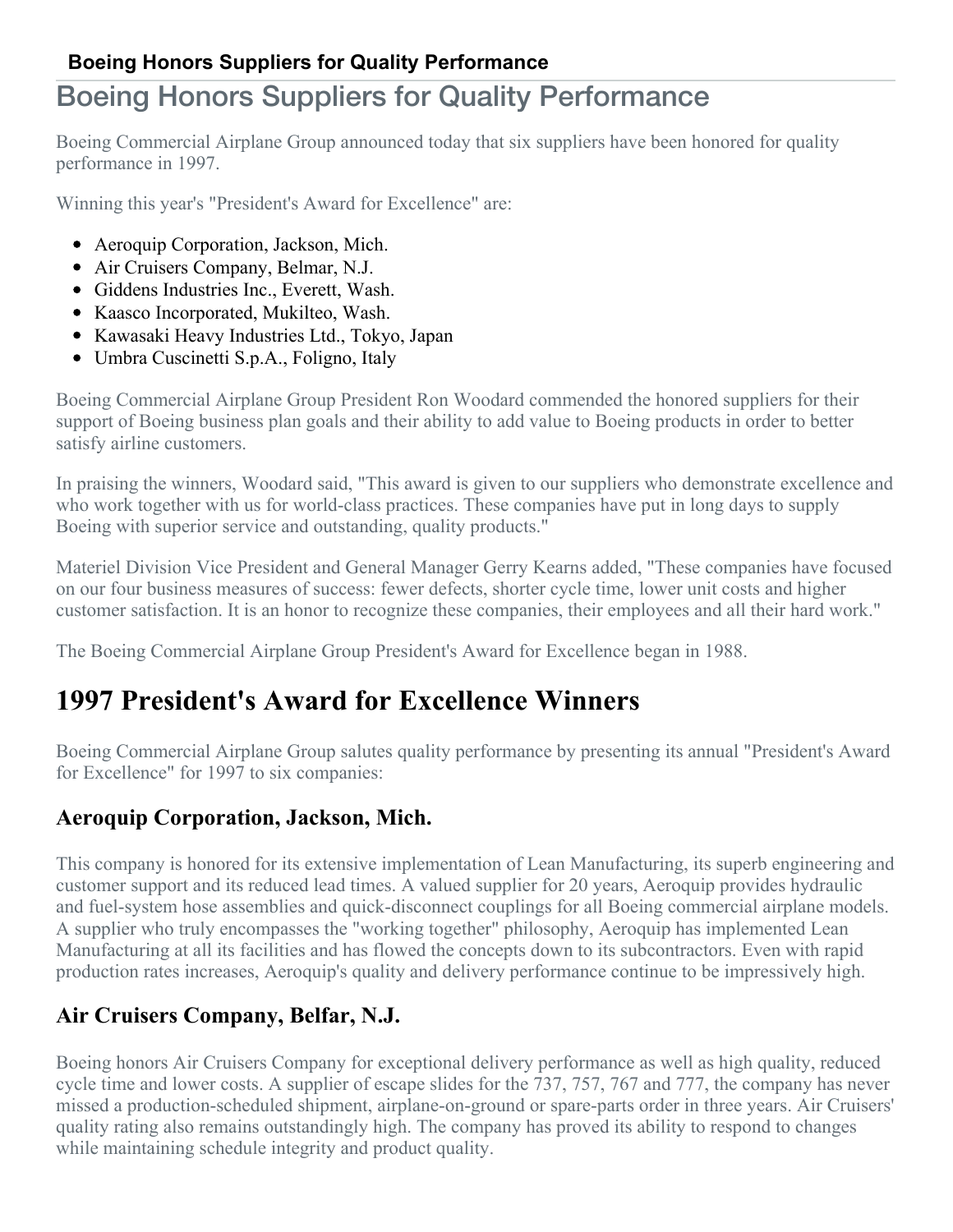# Boeing Honors Suppliers for Quality Performance

Boeing Commercial Airplane Group announced today that six suppliers have been honored for quality performance in 1997.

Winning this year's "President's Award for Excellence" are:

- Aeroquip Corporation, Jackson, Mich.
- Air Cruisers Company, Belmar, N.J.
- Giddens Industries Inc., Everett, Wash.
- Kaasco Incorporated, Mukilteo, Wash.
- Kawasaki Heavy Industries Ltd., Tokyo, Japan
- Umbra Cuscinetti S.p.A., Foligno, Italy

Boeing Commercial Airplane Group President Ron Woodard commended the honored suppliers for their support of Boeing business plan goals and their ability to add value to Boeing products in order to better satisfy airline customers.

In praising the winners, Woodard said, "This award is given to our suppliers who demonstrate excellence and who work together with us for world-class practices. These companies have put in long days to supply Boeing with superior service and outstanding, quality products."

Materiel Division Vice President and General Manager Gerry Kearns added, "These companies have focused on our four business measures of success: fewer defects, shorter cycle time, lower unit costs and higher customer satisfaction. It is an honor to recognize these companies, their employees and all their hard work."

The Boeing Commercial Airplane Group President's Award for Excellence began in 1988.

# **1997 President's Award for Excellence Winners**

Boeing Commercial Airplane Group salutes quality performance by presenting its annual "President's Award for Excellence" for 1997 to six companies:

# **Aeroquip Corporation, Jackson, Mich.**

This company is honored for its extensive implementation of Lean Manufacturing, its superb engineering and customer support and its reduced lead times. A valued supplier for 20 years, Aeroquip provides hydraulic and fuel-system hose assemblies and quick-disconnect couplings for all Boeing commercial airplane models. A supplier who truly encompasses the "working together" philosophy, Aeroquip has implemented Lean Manufacturing at all its facilities and has flowed the concepts down to its subcontractors. Even with rapid production rates increases, Aeroquip's quality and delivery performance continue to be impressively high.

# **Air Cruisers Company, Belfar, N.J.**

Boeing honors Air Cruisers Company for exceptional delivery performance as well as high quality, reduced cycle time and lower costs. A supplier of escape slides for the 737, 757, 767 and 777, the company has never missed a production-scheduled shipment, airplane-on-ground or spare-parts order in three years. Air Cruisers' quality rating also remains outstandingly high. The company has proved its ability to respond to changes while maintaining schedule integrity and product quality.